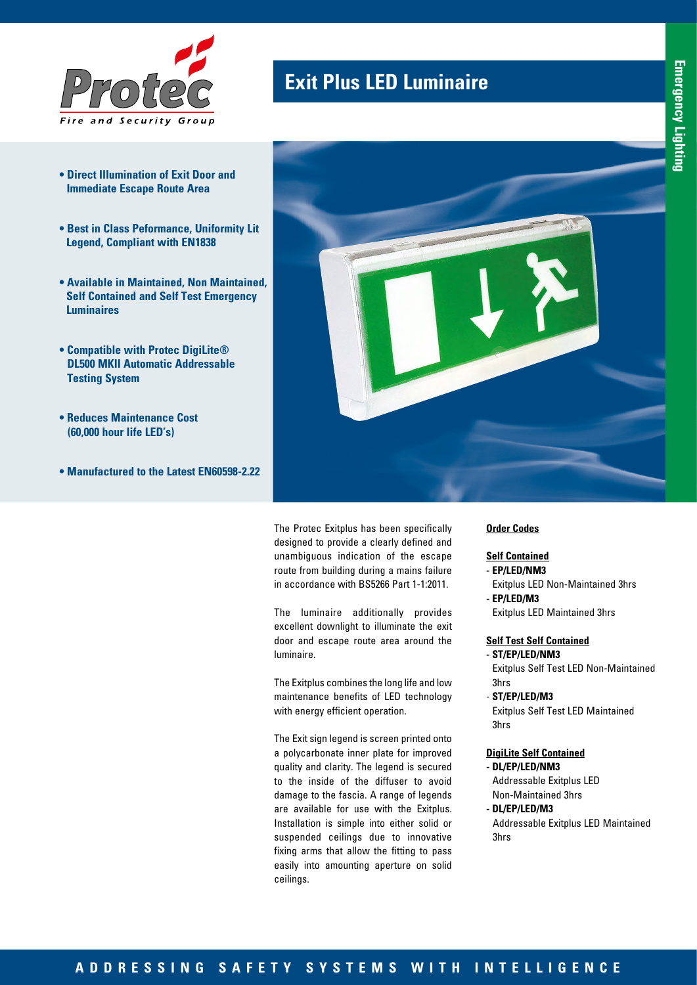

- **Direct Illumination of Exit Door and Immediate Escape Route Area**
- **Best in Class Peformance, Uniformity Lit Legend, Compliant with EN1838**
- **Available in Maintained, Non Maintained, Self Contained and Self Test Emergency Luminaires**
- **Compatible with Protec DigiLite® DL500 MKII Automatic Addressable Testing System**
- **Reduces Maintenance Cost (60,000 hour life LED's)**
- **Manufactured to the Latest EN60598-2.22**



The Protec Exitplus has been specifically designed to provide a clearly defined and unambiguous indication of the escape route from building during a mains failure in accordance with BS5266 Part 1-1:2011.

**Exit Plus LED Luminaire**

The luminaire additionally provides excellent downlight to illuminate the exit door and escape route area around the luminaire.

The Exitplus combines the long life and low maintenance benefits of LED technology with energy efficient operation.

The Exit sign legend is screen printed onto a polycarbonate inner plate for improved quality and clarity. The legend is secured to the inside of the diffuser to avoid damage to the fascia. A range of legends are available for use with the Exitplus. Installation is simple into either solid or suspended ceilings due to innovative fixing arms that allow the fitting to pass easily into amounting aperture on solid ceilings.

### **Order Codes**

## **Self Contained**

- **EP/LED/NM3** Exitplus LED Non-Maintained 3hrs
- **EP/LED/M3** Exitplus LED Maintained 3hrs

#### **Self Test Self Contained - ST/EP/LED/NM3**

- Exitplus Self Test LED Non-Maintained 3hrs
- **ST/EP/LED/M3**

Exitplus Self Test LED Maintained 3hrs

### **DigiLite Self Contained**

**- DL/EP/LED/NM3** Addressable Exitplus LED Non-Maintained 3hrs

**- DL/EP/LED/M3** Addressable Exitplus LED Maintained 3hrs